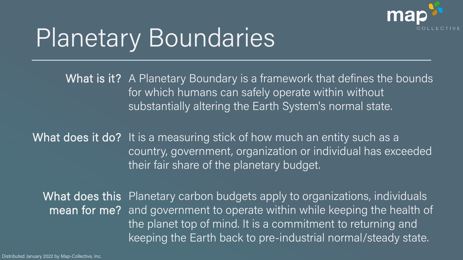

## Planetary Boundaries

What is it? A Planetary Boundary is a framework that defines the bounds for which humans can safely operate within without substantially altering the Earth System's normal state.

What does it do? It is a measuring stick of how much an entity such as a country, government, organization or individual has exceeded their fair share of the planetary budget.

What does this Planetary carbon budgets apply to organizations, individuals mean for me? and government to operate within while keeping the health of the planet top of mind. It is a commitment to returning and keeping the Earth back to pre-industrial normal/steady state.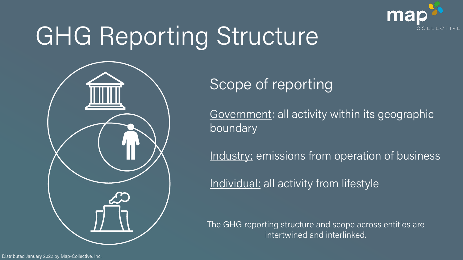

# GHG Reporting Structure



#### Scope of reporting

Government: all activity within its geographic boundary

Industry: emissions from operation of business

Individual: all activity from lifestyle

The GHG reporting structure and scope across entities are intertwined and interlinked.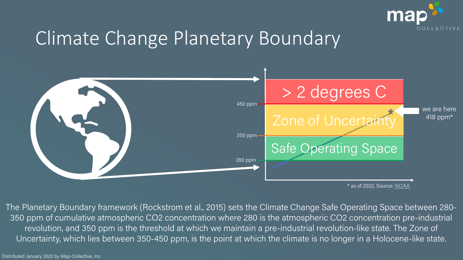

### Climate Change Planetary Boundary



\* as of 2022, Source: [NOAA](https://gml.noaa.gov/ccgg/trends/monthly.html)

The Planetary Boundary framework (Rockstrom et al., 2015) sets the Climate Change Safe Operating Space between 280- 350 ppm of cumulative atmospheric CO2 concentration where 280 is the atmospheric CO2 concentration pre-industrial revolution, and 350 ppm is the threshold at which we maintain a pre-industrial revolution-like state. The Zone of Uncertainty, which lies between 350-450 ppm, is the point at which the climate is no longer in a Holocene-like state.

Distributed January 2022 by Map-Collective, Inc.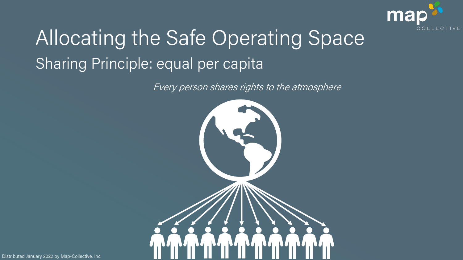

## Allocating the Safe Operating Space Sharing Principle: equal per capita

Every person shares rights to the atmosphere



Distributed January 2022 by Map-Collective, Inc.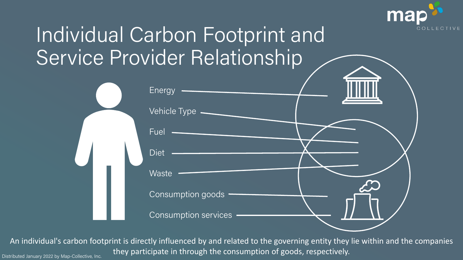

## Individual Carbon Footprint and Service Provider Relationship



An individual's carbon footprint is directly influenced by and related to the governing entity they lie within and the companies Distributed January 2022 by Map-Collective, Inc. they participate in through the consumption of goods, respectively.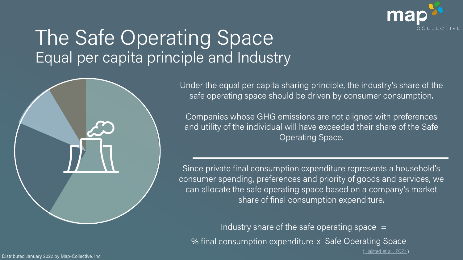

#### The Safe Operating Space Equal per capita principle and Industry



Under the equal per capita sharing principle, the industry's share of the safe operating space should be driven by consumer consumption.

Companies whose GHG emissions are not aligned with preferences and utility of the individual will have exceeded their share of the Safe Operating Space.

Since private final consumption expenditure represents a household's consumer spending, preferences and priority of goods and services, we can allocate the safe operating space based on a company's market share of final consumption expenditure.

Industry share of the safe operating space  $=$ % final consumption expenditure x Safe Operating Space ([Hjalsted et al., 2021\)](https://onlinelibrary.wiley.com/doi/full/10.1111/jiec.13050)